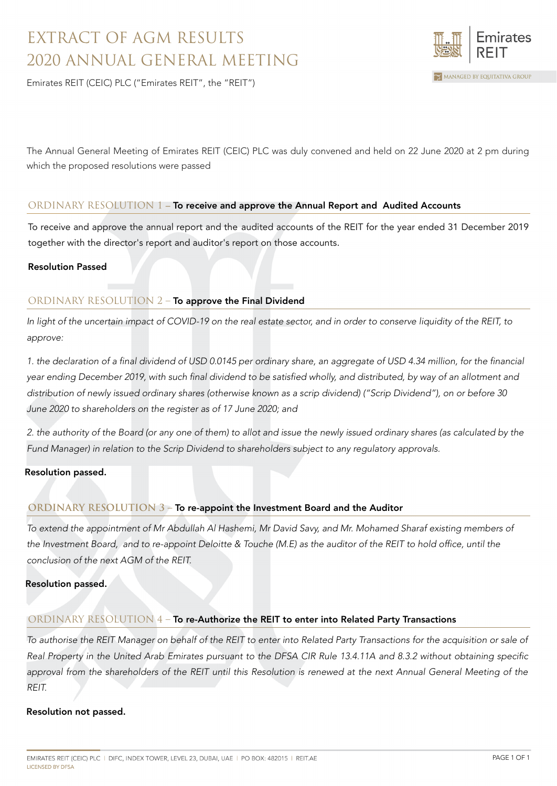# EXTRACT OF AGM RESULTS 2020 ANNUAL GENERAL MEETING

Emirates REIT (CEIC) PLC ("Emirates REIT", the "REIT")

mirates MANAGED BY EQUITATIVA GROUP

The Annual General Meeting of Emirates REIT (CEIC) PLC was duly convened and held on 22 June 2020 at 2 pm during which the proposed resolutions were passed

## ORDINARY RESOLUTION 1 – To receive and approve the Annual Report and Audited Accounts

To receive and approve the annual report and the audited accounts of the REIT for the year ended 31 December 2019 together with the director's report and auditor's report on those accounts.

### Resolution Passed

## ORDINARY RESOLUTION 2 – To approve the Final Dividend

In light of the uncertain impact of COVID-19 on the real estate sector, and in order to conserve liquidity of the REIT, to approve:

1. the declaration of a final dividend of USD 0.0145 per ordinary share, an aggregate of USD 4.34 million, for the financial year ending December 2019, with such final dividend to be satisfied wholly, and distributed, by way of an allotment and distribution of newly issued ordinary shares (otherwise known as a scrip dividend) ("Scrip Dividend"), on or before 30 June 2020 to shareholders on the register as of 17 June 2020; and

2. the authority of the Board (or any one of them) to allot and issue the newly issued ordinary shares (as calculated by the Fund Manager) in relation to the Scrip Dividend to shareholders subject to any regulatory approvals.

### Resolution passed.

### **ORDINARY RESOLUTION 3 –** To re-appoint the Investment Board and the Auditor

To extend the appointment of Mr Abdullah Al Hashemi, Mr David Savy, and Mr. Mohamed Sharaf existing members of the Investment Board, and to re-appoint Deloitte & Touche (M.E) as the auditor of the REIT to hold office, until the conclusion of the next AGM of the REIT.

### Resolution passed.

### ORDINARY RESOLUTION 4 - To re-Authorize the REIT to enter into Related Party Transactions

To authorise the REIT Manager on behalf of the REIT to enter into Related Party Transactions for the acquisition or sale of Real Property in the United Arab Emirates pursuant to the DFSA CIR Rule 13.4.11A and 8.3.2 without obtaining specific approval from the shareholders of the REIT until this Resolution is renewed at the next Annual General Meeting of the REIT.

### Resolution not passed.